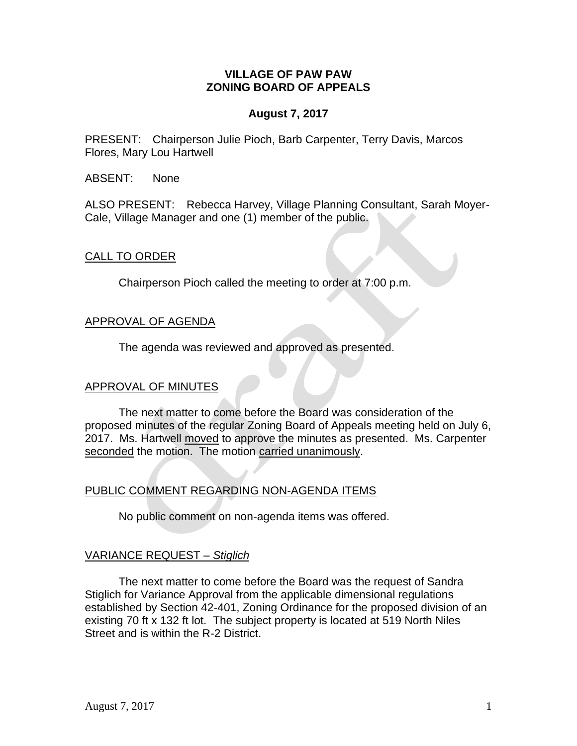### **VILLAGE OF PAW PAW ZONING BOARD OF APPEALS**

# **August 7, 2017**

PRESENT: Chairperson Julie Pioch, Barb Carpenter, Terry Davis, Marcos Flores, Mary Lou Hartwell

ABSENT: None

ALSO PRESENT: Rebecca Harvey, Village Planning Consultant, Sarah Moyer-Cale, Village Manager and one (1) member of the public.

## CALL TO ORDER

Chairperson Pioch called the meeting to order at 7:00 p.m.

## APPROVAL OF AGENDA

The agenda was reviewed and approved as presented.

#### APPROVAL OF MINUTES

The next matter to come before the Board was consideration of the proposed minutes of the regular Zoning Board of Appeals meeting held on July 6, 2017. Ms. Hartwell moved to approve the minutes as presented. Ms. Carpenter seconded the motion. The motion carried unanimously.

## PUBLIC COMMENT REGARDING NON-AGENDA ITEMS

No public comment on non-agenda items was offered.

#### VARIANCE REQUEST *– Stiglich*

The next matter to come before the Board was the request of Sandra Stiglich for Variance Approval from the applicable dimensional regulations established by Section 42-401, Zoning Ordinance for the proposed division of an existing 70 ft x 132 ft lot. The subject property is located at 519 North Niles Street and is within the R-2 District.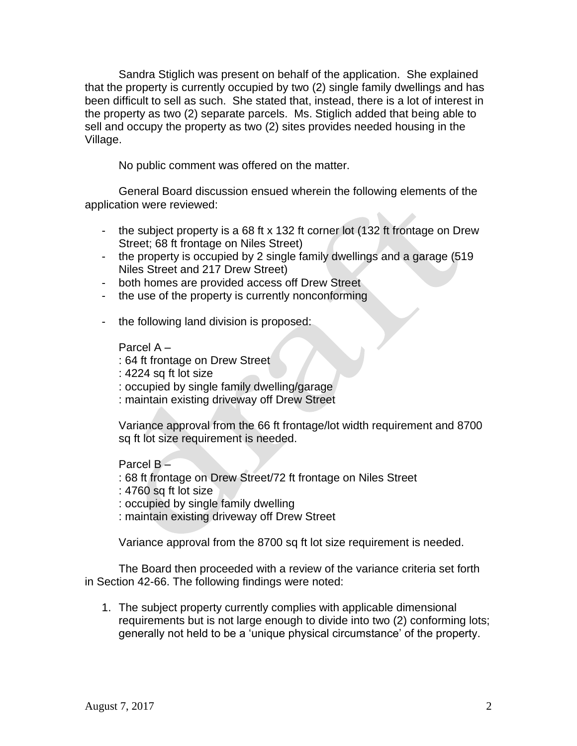Sandra Stiglich was present on behalf of the application. She explained that the property is currently occupied by two (2) single family dwellings and has been difficult to sell as such. She stated that, instead, there is a lot of interest in the property as two (2) separate parcels. Ms. Stiglich added that being able to sell and occupy the property as two (2) sites provides needed housing in the Village.

No public comment was offered on the matter.

General Board discussion ensued wherein the following elements of the application were reviewed:

- the subject property is a 68 ft x 132 ft corner lot (132 ft frontage on Drew Street; 68 ft frontage on Niles Street)
- the property is occupied by 2 single family dwellings and a garage (519 Niles Street and 217 Drew Street)
- both homes are provided access off Drew Street
- the use of the property is currently nonconforming
- the following land division is proposed:

## Parcel A –

- : 64 ft frontage on Drew Street
- : 4224 sq ft lot size
- : occupied by single family dwelling/garage
- : maintain existing driveway off Drew Street

Variance approval from the 66 ft frontage/lot width requirement and 8700 sq ft lot size requirement is needed.

Parcel B –

- : 68 ft frontage on Drew Street/72 ft frontage on Niles Street
- : 4760 sq ft lot size
- : occupied by single family dwelling
- : maintain existing driveway off Drew Street

Variance approval from the 8700 sq ft lot size requirement is needed.

The Board then proceeded with a review of the variance criteria set forth in Section 42-66. The following findings were noted:

1. The subject property currently complies with applicable dimensional requirements but is not large enough to divide into two (2) conforming lots; generally not held to be a 'unique physical circumstance' of the property.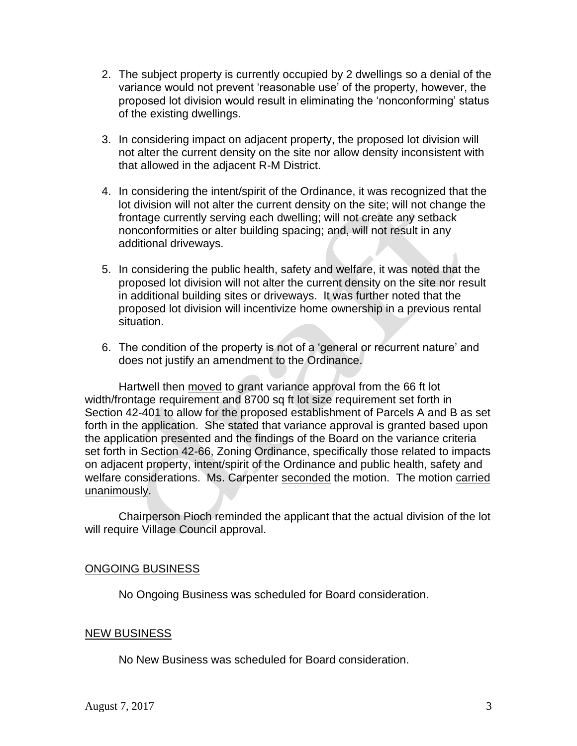- 2. The subject property is currently occupied by 2 dwellings so a denial of the variance would not prevent 'reasonable use' of the property, however, the proposed lot division would result in eliminating the 'nonconforming' status of the existing dwellings.
- 3. In considering impact on adjacent property, the proposed lot division will not alter the current density on the site nor allow density inconsistent with that allowed in the adjacent R-M District.
- 4. In considering the intent/spirit of the Ordinance, it was recognized that the lot division will not alter the current density on the site; will not change the frontage currently serving each dwelling; will not create any setback nonconformities or alter building spacing; and, will not result in any additional driveways.
- 5. In considering the public health, safety and welfare, it was noted that the proposed lot division will not alter the current density on the site nor result in additional building sites or driveways. It was further noted that the proposed lot division will incentivize home ownership in a previous rental situation.
- 6. The condition of the property is not of a 'general or recurrent nature' and does not justify an amendment to the Ordinance.

Hartwell then moved to grant variance approval from the 66 ft lot width/frontage requirement and 8700 sq ft lot size requirement set forth in Section 42-401 to allow for the proposed establishment of Parcels A and B as set forth in the application. She stated that variance approval is granted based upon the application presented and the findings of the Board on the variance criteria set forth in Section 42-66, Zoning Ordinance, specifically those related to impacts on adjacent property, intent/spirit of the Ordinance and public health, safety and welfare considerations. Ms. Carpenter seconded the motion. The motion carried unanimously.

Chairperson Pioch reminded the applicant that the actual division of the lot will require Village Council approval.

## ONGOING BUSINESS

No Ongoing Business was scheduled for Board consideration.

## NEW BUSINESS

No New Business was scheduled for Board consideration.